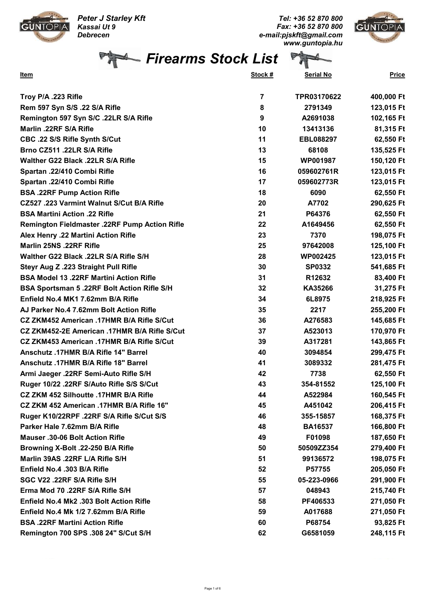Peter J Starley Kft Kassai Ut 9 Debrecen



Tel: +36 52 870 800 Fax: +36 52 870 800 e-mail:pjskft@gmail.com www.guntopia.hu



Firearms Stock List

| $\sim$ m                     |         | $ \mathbf{w}$    |              |
|------------------------------|---------|------------------|--------------|
| <u>Item</u>                  | Stock # | <b>Serial No</b> | <b>Price</b> |
| Troy P/A .223 Rifle          |         | TPR03170622      | 400,000 Ft   |
| Rem 597 Syn S/S 22 S/A Rifle |         | 2791349          | 123 015 Ft   |

| Rem 597 Syn S/S .22 S/A Rifle                      | 8                | 2791349          | 123,015 Ft |
|----------------------------------------------------|------------------|------------------|------------|
| Remington 597 Syn S/C .22LR S/A Rifle              | $\boldsymbol{9}$ | A2691038         | 102,165 Ft |
| Marlin .22RF S/A Rifle                             | 10               | 13413136         | 81,315 Ft  |
| CBC .22 S/S Rifle Synth S/Cut                      | 11               | <b>EBL088297</b> | 62,550 Ft  |
| Brno CZ511 .22LR S/A Rifle                         | 13               | 68108            | 135,525 Ft |
| Walther G22 Black .22LR S/A Rifle                  | 15               | <b>WP001987</b>  | 150,120 Ft |
| Spartan .22/410 Combi Rifle                        | 16               | 059602761R       | 123,015 Ft |
| Spartan .22/410 Combi Rifle                        | 17               | 059602773R       | 123,015 Ft |
| <b>BSA .22RF Pump Action Rifle</b>                 | 18               | 6090             | 62,550 Ft  |
| CZ527 .223 Varmint Walnut S/Cut B/A Rifle          | 20               | A7702            | 290,625 Ft |
| <b>BSA Martini Action .22 Rifle</b>                | 21               | P64376           | 62,550 Ft  |
| Remington Fieldmaster .22RF Pump Action Rifle      | 22               | A1649456         | 62,550 Ft  |
| Alex Henry .22 Martini Action Rifle                | 23               | 7370             | 198,075 Ft |
| Marlin 25NS .22RF Rifle                            | 25               | 97642008         | 125,100 Ft |
| Walther G22 Black .22LR S/A Rifle S/H              | 28               | WP002425         | 123,015 Ft |
| Steyr Aug Z .223 Straight Pull Rifle               | 30               | <b>SP0332</b>    | 541,685 Ft |
| <b>BSA Model 13.22RF Martini Action Rifle</b>      | 31               | R12632           | 83,400 Ft  |
| <b>BSA Sportsman 5 .22RF Bolt Action Rifle S/H</b> | 32               | KA35266          | 31,275 Ft  |
| Enfield No.4 MK1 7.62mm B/A Rifle                  | 34               | 6L8975           | 218,925 Ft |
| AJ Parker No.4 7.62mm Bolt Action Rifle            | 35               | 2217             | 255,200 Ft |
| CZ ZKM452 American .17HMR B/A Rifle S/Cut          | 36               | A276583          | 145,685 Ft |
| CZ ZKM452-2E American .17HMR B/A Rifle S/Cut       | 37               | A523013          | 170,970 Ft |
| CZ ZKM453 American .17HMR B/A Rifle S/Cut          | 39               | A317281          | 143,865 Ft |
| Anschutz .17HMR B/A Rifle 14" Barrel               | 40               | 3094854          | 299,475 Ft |
| Anschutz .17HMR B/A Rifle 18" Barrel               | 41               | 3089332          | 281,475 Ft |
| Armi Jaeger .22RF Semi-Auto Rifle S/H              | 42               | 7738             | 62,550 Ft  |
| Ruger 10/22 .22RF S/Auto Rifle S/S S/Cut           | 43               | 354-81552        | 125,100 Ft |
| CZ ZKM 452 Silhoutte .17HMR B/A Rifle              | 44               | A522984          | 160,545 Ft |
| CZ ZKM 452 American .17HMR B/A Rifle 16"           | 45               | A451042          | 206,415 Ft |
| Ruger K10/22RPF .22RF S/A Rifle S/Cut S/S          | 46               | 355-15857        | 168,375 Ft |
| Parker Hale 7.62mm B/A Rifle                       | 48               | <b>BA16537</b>   | 166,800 Ft |
| Mauser .30-06 Bolt Action Rifle                    | 49               | F01098           | 187,650 Ft |
| Browning X-Bolt .22-250 B/A Rifle                  | 50               | 50509ZZ354       | 279,400 Ft |
| Marlin 39AS .22RF L/A Rifle S/H                    | 51               | 99136572         | 198,075 Ft |
| Enfield No.4 .303 B/A Rifle                        | 52               | P57755           | 205,050 Ft |
| SGC V22 .22RF S/A Rifle S/H                        | 55               | 05-223-0966      | 291,900 Ft |
| Erma Mod 70 .22RF S/A Rifle S/H                    | 57               | 048943           | 215,740 Ft |
| Enfield No.4 Mk2 .303 Bolt Action Rifle            | 58               | PF406533         | 271,050 Ft |
| Enfield No.4 Mk 1/2 7.62mm B/A Rifle               | 59               | A017688          | 271,050 Ft |
| <b>BSA .22RF Martini Action Rifle</b>              | 60               | P68754           | 93,825 Ft  |
| Remington 700 SPS .308 24" S/Cut S/H               | 62               | G6581059         | 248,115 Ft |
|                                                    |                  |                  |            |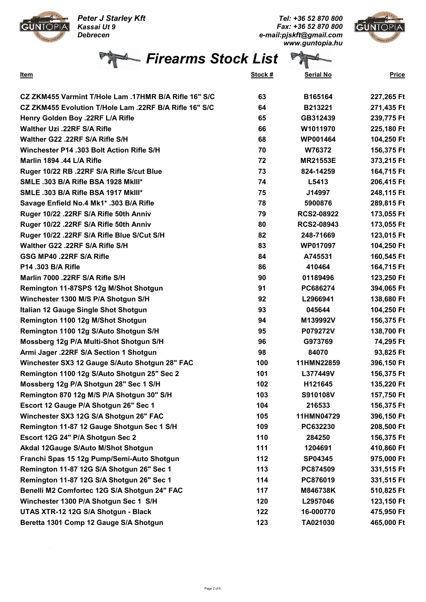Peter J Starley Kft Kassai Ut 9 Debrecen

P

Tel: +36 52 870 800 Fax: +36 52 870 800 e-mail:pjskft@gmail.com www.guntopia.hu



Firearms Stock List  $\overline{H}$ 

**GUNTOPIA** 

| <u>Item</u>                                            | <u>Stock #</u> | <b>Serial No</b>  | <b>Price</b> |
|--------------------------------------------------------|----------------|-------------------|--------------|
| CZ ZKM455 Varmint T/Hole Lam .17HMR B/A Rifle 16" S/C  | 63             | B165164           | 227,265 Ft   |
| CZ ZKM455 Evolution T/Hole Lam .22RF B/A Rifle 16" S/C | 64             | B213221           | 271,435 Ft   |
| Henry Golden Boy .22RF L/A Rifle                       | 65             | GB312439          | 239,775 Ft   |
| Walther Uzi .22RF S/A Rifle                            | 66             | W1011970          | 225,180 Ft   |
| Walther G22 .22RF S/A Rifle S/H                        | 68             | <b>WP001464</b>   | 104,250 Ft   |
| Winchester P14 .303 Bolt Action Rifle S/H              | 70             | W76372            | 156,375 Ft   |
| Marlin 1894 .44 L/A Rifle                              | 72             | <b>MR21553E</b>   | 373,215 Ft   |
| Ruger 10/22 RB .22RF S/A Rifle S/cut Blue              | 73             | 824-14259         | 164,715 Ft   |
| SMLE .303 B/A Rifle BSA 1928 MkIII*                    | 74             | L5413             | 206,415 Ft   |
| <b>SMLE .303 B/A Rifle BSA 1917 MkIII*</b>             | 75             | J14997            | 248,115 Ft   |
| Savage Enfield No.4 Mk1* .303 B/A Rifle                | 78             | 5900876           | 289,815 Ft   |
| Ruger 10/22 .22RF S/A Rifle 50th Anniv                 | 79             | <b>RCS2-08922</b> | 173,055 Ft   |
| Ruger 10/22 .22RF S/A Rifle 50th Anniv                 | 80             | <b>RCS2-08943</b> | 173,055 Ft   |
| Ruger 10/22 .22RF S/A Rifle Blue S/Cut S/H             | 82             | 248-71669         | 123,015 Ft   |
| Walther G22 .22RF S/A Rifle S/H                        | 83             | WP017097          | 104,250 Ft   |
| GSG MP40 .22RF S/A Rifle                               | 84             | A745531           | 160,545 Ft   |
| P14 .303 B/A Rifle                                     | 86             | 410464            | 164,715 Ft   |
| Marlin 7000 .22RF S/A Rifle S/H                        | 90             | 01189496          | 123,250 Ft   |
| Remington 11-87SPS 12g M/Shot Shotgun                  | 91             | PC686274          | 394,065 Ft   |
| Winchester 1300 M/S P/A Shotgun S/H                    | 92             | L2966941          | 138,680 Ft   |
| Italian 12 Gauge Single Shot Shotgun                   | 93             | 045644            | 104,250 Ft   |
| Remington 1100 12g M/Shot Shotgun                      | 94             | M139992V          | 156,375 Ft   |
| Remington 1100 12g S/Auto Shotgun S/H                  | 95             | P079272V          | 138,700 Ft   |
| Mossberg 12g P/A Multi-Shot Shotgun S/H                | 96             | G973769           | 74,295 Ft    |
| Armi Jager .22RF S/A Section 1 Shotgun                 | 98             | 84070             | 93,825 Ft    |
| Winchester SX3 12 Gauge S/Auto Shotgun 28" FAC         | 100            | 11HMN22859        | 396,150 Ft   |
| Remington 1100 12g S/Auto Shotgun 25" Sec 2            | 101            | L377449V          | 156,375 Ft   |
| Mossberg 12g P/A Shotgun 28" Sec 1 S/H                 | 102            | H121645           | 135,220 Ft   |
| Remington 870 12g M/S P/A Shotgun 30" S/H              | 103            | S910108V          | 157,750 Ft   |
| Escort 12 Gauge P/A Shotgun 26" Sec 1                  | 104            | 216533            | 156,375 Ft   |
| Winchester SX3 12G S/A Shotgun 26" FAC                 | 105            | 11HMN04729        | 396,150 Ft   |
| Remington 11-87 12 Gauge Shotgun Sec 1 S/H             | 109            | PC632230          | 208,500 Ft   |
| Escort 12G 24" P/A Shotgun Sec 2                       | 110            | 284250            | 156,375 Ft   |
| Akdal 12Gauge S/Auto M/Shot Shotgun                    | 111            | 1204691           | 410,860 Ft   |
| Franchi Spas 15 12g Pump/Semi-Auto Shotgun             | 112            | SP04345           | 975,000 Ft   |
| Remington 11-87 12G S/A Shotgun 26" Sec 1              | 113            | PC874509          | 331,515 Ft   |
| Remington 11-87 12G S/A Shotgun 26" Sec 1              | 114            | PC876019          | 331,515 Ft   |
| Benelli M2 Comfortec 12G S/A Shotgun 24" FAC           | 117            | M846738K          | 510,825 Ft   |
| Winchester 1300 P/A Shotgun Sec 1 S/H                  | 120            | L2957046          | 123,150 Ft   |
| UTAS XTR-12 12G S/A Shotgun - Black                    | 122            | 16-000770         | 475,950 Ft   |
| Beretta 1301 Comp 12 Gauge S/A Shotgun                 | 123            | TA021030          | 465,000 Ft   |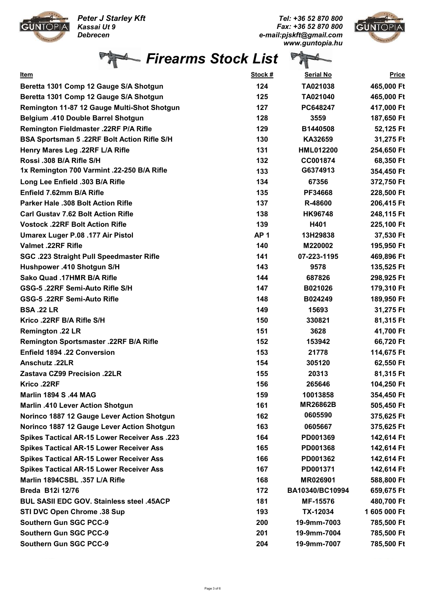Peter J Starley Kft Kassai Ut 9



Debrecen

Tel: +36 52 870 800 Fax: +36 52 870 800 e-mail:pjskft@gmail.com www.guntopia.hu



|  | Firearms Stock List |  |  |
|--|---------------------|--|--|
|--|---------------------|--|--|

| <u>Item</u>                                          | Stock #         | <b>Serial No</b> | <b>Price</b> |
|------------------------------------------------------|-----------------|------------------|--------------|
| Beretta 1301 Comp 12 Gauge S/A Shotgun               | 124             | TA021038         | 465,000 Ft   |
| Beretta 1301 Comp 12 Gauge S/A Shotgun               | 125             | TA021040         | 465,000 Ft   |
| Remington 11-87 12 Gauge Multi-Shot Shotgun          | 127             | PC648247         | 417,000 Ft   |
| <b>Belgium .410 Double Barrel Shotgun</b>            | 128             | 3559             | 187,650 Ft   |
| Remington Fieldmaster .22RF P/A Rifle                | 129             | B1440508         | 52,125 Ft    |
| <b>BSA Sportsman 5.22RF Bolt Action Rifle S/H</b>    | 130             | KA32659          | 31,275 Ft    |
| Henry Mares Leg .22RF L/A Rifle                      | 131             | <b>HML012200</b> | 254,650 Ft   |
| Rossi .308 B/A Rifle S/H                             | 132             | CC001874         | 68,350 Ft    |
| 1x Remington 700 Varmint .22-250 B/A Rifle           | 133             | G6374913         | 354,450 Ft   |
| Long Lee Enfield .303 B/A Rifle                      | 134             | 67356            | 372,750 Ft   |
| Enfield 7.62mm B/A Rifle                             | 135             | PF34668          | 228,500 Ft   |
| <b>Parker Hale .308 Bolt Action Rifle</b>            | 137             | R-48600          | 206,415 Ft   |
| <b>Carl Gustav 7.62 Bolt Action Rifle</b>            | 138             | <b>HK96748</b>   | 248,115 Ft   |
| <b>Vostock .22RF Bolt Action Rifle</b>               | 139             | H401             | 225,100 Ft   |
| Umarex Luger P.08 .177 Air Pistol                    | AP <sub>1</sub> | 13H29838         | 37,530 Ft    |
| <b>Valmet .22RF Rifle</b>                            | 140             | M220002          | 195,950 Ft   |
| SGC .223 Straight Pull Speedmaster Rifle             | 141             | 07-223-1195      | 469,896 Ft   |
| Hushpower .410 Shotgun S/H                           | 143             | 9578             | 135,525 Ft   |
| Sako Quad .17HMR B/A Rifle                           | 144             | 687826           | 298,925 Ft   |
| GSG-5 .22RF Semi-Auto Rifle S/H                      | 147             | B021026          | 179,310 Ft   |
| GSG-5 .22RF Semi-Auto Rifle                          | 148             | B024249          | 189,950 Ft   |
| <b>BSA.22 LR</b>                                     | 149             | 15693            | 31,275 Ft    |
| Krico .22RF B/A Rifle S/H                            | 150             | 330821           | 81,315 Ft    |
| Remington .22 LR                                     | 151             | 3628             | 41,700 Ft    |
| Remington Sportsmaster .22RF B/A Rifle               | 152             | 153942           | 66,720 Ft    |
| <b>Enfield 1894 .22 Conversion</b>                   | 153             | 21778            | 114,675 Ft   |
| Anschutz .22LR                                       | 154             | 305120           | 62,550 Ft    |
| Zastava CZ99 Precision .22LR                         | 155             | 20313            | 81,315 Ft    |
| Krico.22RF                                           | 156             | 265646           | 104,250 Ft   |
| <b>Marlin 1894 S.44 MAG</b>                          | 159             | 10013858         | 354,450 Ft   |
| Marlin .410 Lever Action Shotgun                     | 161             | <b>MR26862B</b>  | 505,450 Ft   |
| Norinco 1887 12 Gauge Lever Action Shotgun           | 162             | 0605590          | 375,625 Ft   |
| Norinco 1887 12 Gauge Lever Action Shotgun           | 163             | 0605667          | 375,625 Ft   |
| <b>Spikes Tactical AR-15 Lower Receiver Ass .223</b> | 164             | PD001369         | 142,614 Ft   |
| <b>Spikes Tactical AR-15 Lower Receiver Ass</b>      | 165             | PD001368         | 142,614 Ft   |
| <b>Spikes Tactical AR-15 Lower Receiver Ass</b>      | 166             | PD001362         | 142,614 Ft   |
| <b>Spikes Tactical AR-15 Lower Receiver Ass</b>      | 167             | PD001371         | 142,614 Ft   |
| Marlin 1894CSBL .357 L/A Rifle                       | 168             | MR026901         | 588,800 Ft   |
| <b>Breda B12i 12/76</b>                              | 172             | BA10340/BC10994  | 659,675 Ft   |
| <b>BUL SASII EDC GOV. Stainless steel .45ACP</b>     | 181             | <b>MF-15576</b>  | 480,700 Ft   |
| STI DVC Open Chrome .38 Sup                          | 193             | TX-12034         | 1 605 000 Ft |
| <b>Southern Gun SGC PCC-9</b>                        | 200             | 19-9mm-7003      | 785,500 Ft   |
| <b>Southern Gun SGC PCC-9</b>                        | 201             | 19-9mm-7004      | 785,500 Ft   |
| <b>Southern Gun SGC PCC-9</b>                        | 204             | 19-9mm-7007      | 785,500 Ft   |
|                                                      |                 |                  |              |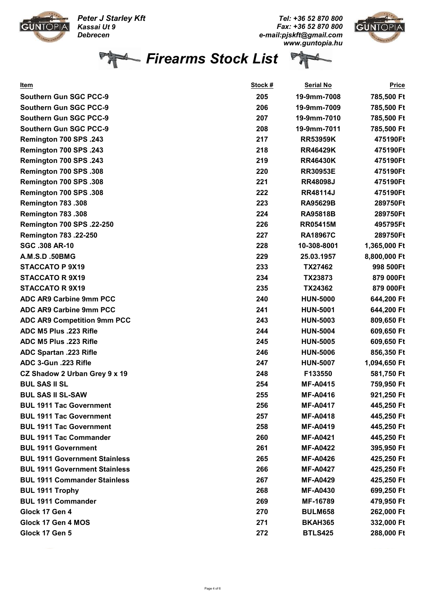Peter J Starley Kft



Kassai Ut 9 Debrecen

Tel: +36 52 870 800 Fax: +36 52 870 800 e-mail:pjskft@gmail.com www.guntopia.hu



Firearms Stock List

Ð

| Item                                 | <u>Stock #</u> | Serial No       | <b>Price</b> |
|--------------------------------------|----------------|-----------------|--------------|
| <b>Southern Gun SGC PCC-9</b>        | 205            | 19-9mm-7008     | 785,500 Ft   |
| <b>Southern Gun SGC PCC-9</b>        | 206            | 19-9mm-7009     | 785,500 Ft   |
| <b>Southern Gun SGC PCC-9</b>        | 207            | 19-9mm-7010     | 785,500 Ft   |
| <b>Southern Gun SGC PCC-9</b>        | 208            | 19-9mm-7011     | 785,500 Ft   |
| <b>Remington 700 SPS .243</b>        | 217            | <b>RR53959K</b> | 475190Ft     |
| <b>Remington 700 SPS .243</b>        | 218            | <b>RR46429K</b> | 475190Ft     |
| <b>Remington 700 SPS .243</b>        | 219            | <b>RR46430K</b> | 475190Ft     |
| Remington 700 SPS.308                | 220            | <b>RR30953E</b> | 475190Ft     |
| Remington 700 SPS.308                | 221            | <b>RR48098J</b> | 475190Ft     |
| Remington 700 SPS.308                | 222            | <b>RR48114J</b> | 475190Ft     |
| Remington 783.308                    | 223            | <b>RA95629B</b> | 289750Ft     |
| Remington 783.308                    | 224            | <b>RA95818B</b> | 289750Ft     |
| <b>Remington 700 SPS .22-250</b>     | 226            | <b>RR05415M</b> | 495795Ft     |
| <b>Remington 783 .22-250</b>         | 227            | <b>RA18967C</b> | 289750Ft     |
| <b>SGC .308 AR-10</b>                | 228            | 10-308-8001     | 1,365,000 Ft |
| A.M.S.D.50BMG                        | 229            | 25.03.1957      | 8,800,000 Ft |
| <b>STACCATO P 9X19</b>               | 233            | TX27462         | 998 500Ft    |
| <b>STACCATO R 9X19</b>               | 234            | TX23873         | 879 000Ft    |
| <b>STACCATO R 9X19</b>               | 235            | TX24362         | 879 000Ft    |
| <b>ADC AR9 Carbine 9mm PCC</b>       | 240            | <b>HUN-5000</b> | 644,200 Ft   |
| ADC AR9 Carbine 9mm PCC              | 241            | <b>HUN-5001</b> | 644,200 Ft   |
| ADC AR9 Competition 9mm PCC          | 243            | <b>HUN-5003</b> | 809,650 Ft   |
| ADC M5 Plus .223 Rifle               | 244            | <b>HUN-5004</b> | 609,650 Ft   |
| ADC M5 Plus .223 Rifle               | 245            | <b>HUN-5005</b> | 609,650 Ft   |
| <b>ADC Spartan .223 Rifle</b>        | 246            | <b>HUN-5006</b> | 856,350 Ft   |
| ADC 3-Gun .223 Rifle                 | 247            | <b>HUN-5007</b> | 1,094,650 Ft |
| CZ Shadow 2 Urban Grey 9 x 19        | 248            | F133550         | 581,750 Ft   |
| <b>BUL SAS II SL</b>                 | 254            | <b>MF-A0415</b> | 759,950 Ft   |
| <b>BUL SAS II SL-SAW</b>             | 255            | <b>MF-A0416</b> | 921,250 Ft   |
| <b>BUL 1911 Tac Government</b>       | 256            | <b>MF-A0417</b> | 445,250 Ft   |
| <b>BUL 1911 Tac Government</b>       | 257            | <b>MF-A0418</b> | 445,250 Ft   |
| <b>BUL 1911 Tac Government</b>       | 258            | <b>MF-A0419</b> | 445,250 Ft   |
| <b>BUL 1911 Tac Commander</b>        | 260            | <b>MF-A0421</b> | 445,250 Ft   |
| <b>BUL 1911 Government</b>           | 261            | <b>MF-A0422</b> | 395,950 Ft   |
| <b>BUL 1911 Government Stainless</b> | 265            | <b>MF-A0426</b> | 425,250 Ft   |
| <b>BUL 1911 Government Stainless</b> | 266            | <b>MF-A0427</b> | 425,250 Ft   |
| <b>BUL 1911 Commander Stainless</b>  | 267            | <b>MF-A0429</b> | 425,250 Ft   |
| <b>BUL 1911 Trophy</b>               | 268            | <b>MF-A0430</b> | 699,250 Ft   |
| <b>BUL 1911 Commander</b>            | 269            | MF-16789        | 479,950 Ft   |
| Glock 17 Gen 4                       | 270            | <b>BULM658</b>  | 262,000 Ft   |
| Glock 17 Gen 4 MOS                   | 271            | <b>BKAH365</b>  | 332,000 Ft   |
| Glock 17 Gen 5                       | 272            | <b>BTLS425</b>  | 288,000 Ft   |
|                                      |                |                 |              |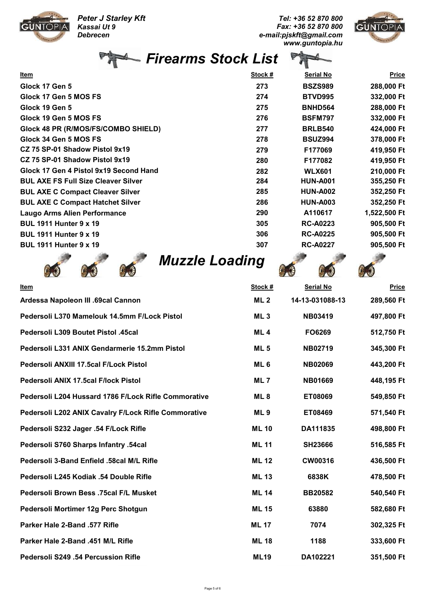Peter J Starley Kft



Kassai Ut 9 Debrecen

Tel: +36 52 870 800 Fax: +36 52 870 800 e-mail:pjskft@gmail.com www.guntopia.hu



|                                            | <b>Firearms Stock List</b> |                  |              |
|--------------------------------------------|----------------------------|------------------|--------------|
| <u>Item</u>                                | <u>Stock #</u>             | <b>Serial No</b> | <b>Price</b> |
| Glock 17 Gen 5                             | 273                        | <b>BSZS989</b>   | 288,000 Ft   |
| Glock 17 Gen 5 MOS FS                      | 274                        | <b>BTVD995</b>   | 332,000 Ft   |
| Glock 19 Gen 5                             | 275                        | <b>BNHD564</b>   | 288,000 Ft   |
| Glock 19 Gen 5 MOS FS                      | 276                        | <b>BSFM797</b>   | 332,000 Ft   |
| Glock 48 PR (R/MOS/FS/COMBO SHIELD)        | 277                        | <b>BRLB540</b>   | 424,000 Ft   |
| Glock 34 Gen 5 MOS FS                      | 278                        | <b>BSUZ994</b>   | 378,000 Ft   |
| CZ 75 SP-01 Shadow Pistol 9x19             | 279                        | F177069          | 419,950 Ft   |
| CZ 75 SP-01 Shadow Pistol 9x19             | 280                        | F177082          | 419,950 Ft   |
| Glock 17 Gen 4 Pistol 9x19 Second Hand     | 282                        | <b>WLX601</b>    | 210,000 Ft   |
| <b>BUL AXE FS Full Size Cleaver Silver</b> | 284                        | <b>HUN-A001</b>  | 355,250 Ft   |
| <b>BUL AXE C Compact Cleaver Silver</b>    | 285                        | <b>HUN-A002</b>  | 352,250 Ft   |
| <b>BUL AXE C Compact Hatchet Silver</b>    | 286                        | <b>HUN-A003</b>  | 352,250 Ft   |
| <b>Laugo Arms Alien Performance</b>        | 290                        | A110617          | 1,522,500 Ft |
| <b>BUL 1911 Hunter 9 x 19</b>              | 305                        | <b>RC-A0223</b>  | 905,500 Ft   |
| <b>BUL 1911 Hunter 9 x 19</b>              | 306                        | <b>RC-A0225</b>  | 905,500 Ft   |
| <b>BUL 1911 Hunter 9 x 19</b>              | 307                        | <b>RC-A0227</b>  | 905,500 Ft   |
|                                            |                            |                  |              |







| <u>Item</u>                                          | Stock #         | <b>Serial No</b> | <b>Price</b> |
|------------------------------------------------------|-----------------|------------------|--------------|
| Ardessa Napoleon III .69cal Cannon                   | ML <sub>2</sub> | 14-13-031088-13  | 289,560 Ft   |
| Pedersoli L370 Mamelouk 14.5mm F/Lock Pistol         | ML <sub>3</sub> | <b>NB03419</b>   | 497,800 Ft   |
| Pedersoli L309 Boutet Pistol .45cal                  | ML <sub>4</sub> | FO6269           | 512,750 Ft   |
| Pedersoli L331 ANIX Gendarmerie 15.2mm Pistol        | <b>ML5</b>      | <b>NB02719</b>   | 345,300 Ft   |
| Pedersoli ANXIII 17.5cal F/Lock Pistol               | ML <sub>6</sub> | <b>NB02069</b>   | 443,200 Ft   |
| Pedersoli ANIX 17.5cal F/lock Pistol                 | ML <sub>7</sub> | <b>NB01669</b>   | 448,195 Ft   |
| Pedersoli L204 Hussard 1786 F/Lock Rifle Commorative | ML <sub>8</sub> | ET08069          | 549,850 Ft   |
| Pedersoli L202 ANIX Cavalry F/Lock Rifle Commorative | ML <sub>9</sub> | ET08469          | 571,540 Ft   |
| Pedersoli S232 Jager .54 F/Lock Rifle                | <b>ML 10</b>    | DA111835         | 498,800 Ft   |
| Pedersoli S760 Sharps Infantry .54cal                | <b>ML 11</b>    | <b>SH23666</b>   | 516,585 Ft   |
| Pedersoli 3-Band Enfield .58cal M/L Rifle            | <b>ML 12</b>    | CW00316          | 436,500 Ft   |
| Pedersoli L245 Kodiak .54 Double Rifle               | <b>ML13</b>     | 6838K            | 478,500 Ft   |
| Pedersoli Brown Bess .75cal F/L Musket               | <b>ML 14</b>    | <b>BB20582</b>   | 540,540 Ft   |
| Pedersoli Mortimer 12g Perc Shotgun                  | <b>ML 15</b>    | 63880            | 582,680 Ft   |
| Parker Hale 2-Band .577 Rifle                        | <b>ML 17</b>    | 7074             | 302,325 Ft   |
| Parker Hale 2-Band .451 M/L Rifle                    | <b>ML 18</b>    | 1188             | 333,600 Ft   |
| Pedersoli S249 .54 Percussion Rifle                  | <b>ML19</b>     | DA102221         | 351,500 Ft   |
|                                                      |                 |                  |              |